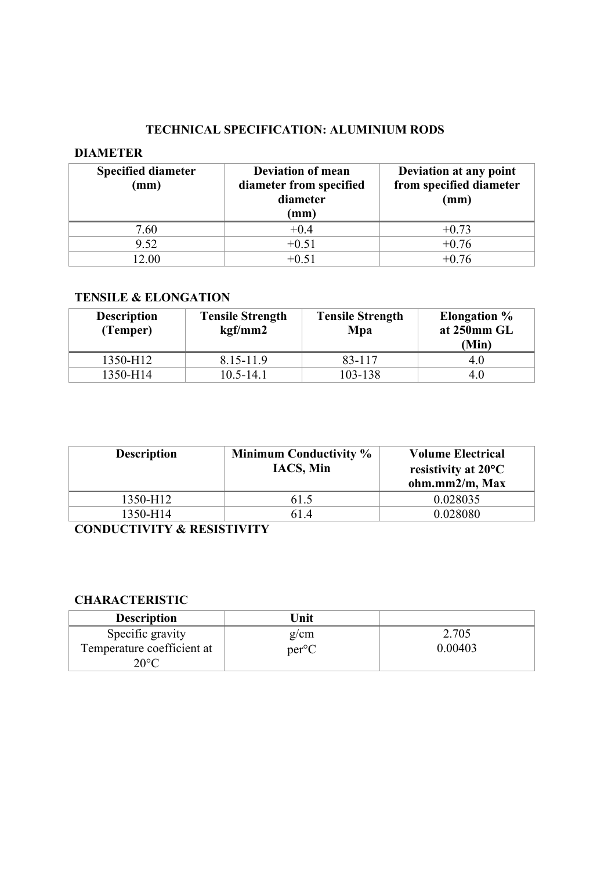#### **TECHNICAL SPECIFICATION: ALUMINIUM RODS**

#### **DIAMETER**

| <b>Specified diameter</b><br>(mm) | <b>Deviation of mean</b><br>diameter from specified<br>diameter<br>(mm) | Deviation at any point<br>from specified diameter<br>(mm) |
|-----------------------------------|-------------------------------------------------------------------------|-----------------------------------------------------------|
| 7.60                              | $+0.4$                                                                  | $+0.73$                                                   |
| 9.52                              | $+0.51$                                                                 | $+0.76$                                                   |
| 12.00                             | $+0.51$                                                                 | $+0.76$                                                   |

### **TENSILE & ELONGATION**

| <b>Description</b><br>(Temper) | <b>Tensile Strength</b><br>kgf/mm2 | <b>Tensile Strength</b><br>Mpa | <b>Elongation</b> %<br>at 250mm GL<br>(Min) |
|--------------------------------|------------------------------------|--------------------------------|---------------------------------------------|
| 1350-H12                       | $8.15 - 11.9$                      | 83-117                         | 4.0                                         |
| 1350-H14                       | $10.5 - 14.1$                      | 103-138                        | 4.0                                         |

| <b>Description</b> | <b>Minimum Conductivity %</b><br><b>IACS, Min</b> | <b>Volume Electrical</b><br>resistivity at $20^{\circ}$ C<br>ohm.mm2/m, Max |
|--------------------|---------------------------------------------------|-----------------------------------------------------------------------------|
| 1350-H12           | 61.5                                              | 0.028035                                                                    |
| 1350-H14           | 61.4                                              | 0.028080                                                                    |

**CONDUCTIVITY & RESISTIVITY**

# **CHARACTERISTIC**

| <b>Description</b>         | Unit           |         |
|----------------------------|----------------|---------|
| Specific gravity           | g/cm           | 2.705   |
| Temperature coefficient at | $per^{\circ}C$ | 0.00403 |
| $20^{\circ}$ C             |                |         |